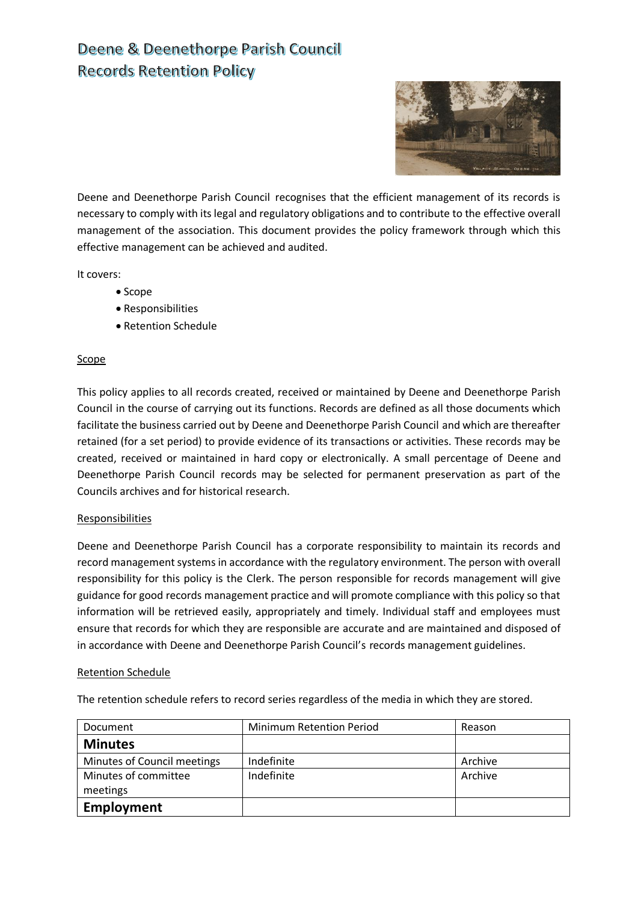## Deene & Deenethorpe Parish Council **Records Retention Policy**



Deene and Deenethorpe Parish Council recognises that the efficient management of its records is necessary to comply with its legal and regulatory obligations and to contribute to the effective overall management of the association. This document provides the policy framework through which this effective management can be achieved and audited.

It covers:

- Scope
- Responsibilities
- Retention Schedule

## **Scope**

This policy applies to all records created, received or maintained by Deene and Deenethorpe Parish Council in the course of carrying out its functions. Records are defined as all those documents which facilitate the business carried out by Deene and Deenethorpe Parish Council and which are thereafter retained (for a set period) to provide evidence of its transactions or activities. These records may be created, received or maintained in hard copy or electronically. A small percentage of Deene and Deenethorpe Parish Council records may be selected for permanent preservation as part of the Councils archives and for historical research.

## Responsibilities

Deene and Deenethorpe Parish Council has a corporate responsibility to maintain its records and record management systems in accordance with the regulatory environment. The person with overall responsibility for this policy is the Clerk. The person responsible for records management will give guidance for good records management practice and will promote compliance with this policy so that information will be retrieved easily, appropriately and timely. Individual staff and employees must ensure that records for which they are responsible are accurate and are maintained and disposed of in accordance with Deene and Deenethorpe Parish Council's records management guidelines.

## Retention Schedule

The retention schedule refers to record series regardless of the media in which they are stored.

| Document                    | <b>Minimum Retention Period</b> | Reason  |
|-----------------------------|---------------------------------|---------|
| <b>Minutes</b>              |                                 |         |
| Minutes of Council meetings | Indefinite                      | Archive |
| Minutes of committee        | Indefinite                      | Archive |
| meetings                    |                                 |         |
| <b>Employment</b>           |                                 |         |